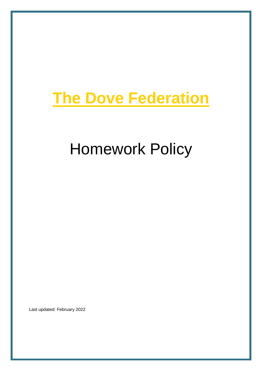## **The Dove Federation**

# Homework Policy

Last updated: February 2022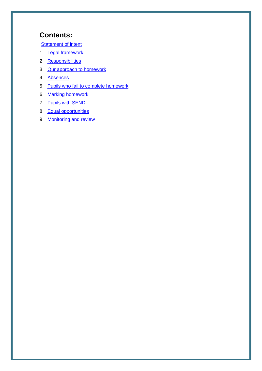## **Contents:**

**[Statement of intent](#page-2-0)** 

- 1. [Legal framework](#page-3-0)
- 2. [Responsibilities](#page-3-1)
- 3. [Our approach to homework](#page-4-0)
- 4. [Absences](#page-5-0)
- 5. [Pupils who fail to complete homework](#page-5-1)
- 6. [Marking homework](#page-5-2)
- 7. [Pupils with SEND](#page-5-2)
- 8. [Equal opportunities](#page-6-0)
- 9. [Monitoring and review](#page-6-1)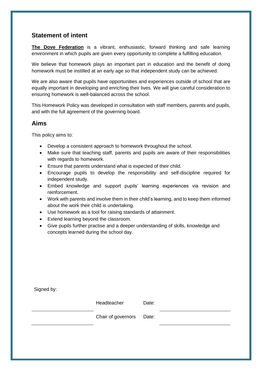## <span id="page-2-0"></span>**Statement of intent**

**The Dove Federation** is a vibrant, enthusiastic, forward thinking and safe learning environment in which pupils are given every opportunity to complete a fulfilling education.

We believe that homework plays an important part in education and the benefit of doing homework must be instilled at an early age so that independent study can be achieved.

We are also aware that pupils have opportunities and experiences outside of school that are equally important in developing and enriching their lives. We will give careful consideration to ensuring homework is well-balanced across the school.

This Homework Policy was developed in consultation with staff members, parents and pupils, and with the full agreement of the governing board.

## **Aims**

This policy aims to:

- Develop a consistent approach to homework throughout the school.
- Make sure that teaching staff, parents and pupils are aware of their responsibilities with regards to homework.
- Ensure that parents understand what is expected of their child.
- Encourage pupils to develop the responsibility and self-discipline required for independent study.
- Embed knowledge and support pupils' learning experiences via revision and reinforcement.
- Work with parents and involve them in their child's learning, and to keep them informed about the work their child is undertaking.
- Use homework as a tool for raising standards of attainment.
- Extend learning beyond the classroom.
- Give pupils further practise and a deeper understanding of skills, knowledge and concepts learned during the school day.

| Signed by: |                          |       |  |
|------------|--------------------------|-------|--|
|            | Headteacher              | Date: |  |
|            | Chair of governors Date: |       |  |
|            |                          |       |  |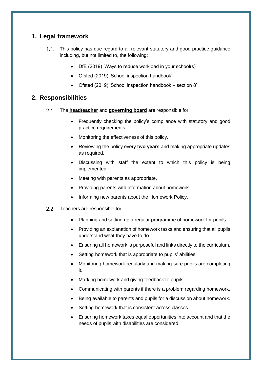## <span id="page-3-0"></span>**1. Legal framework**

- 1.1. This policy has due regard to all relevant statutory and good practice guidance including, but not limited to, the following:
	- DfE (2019) 'Ways to reduce workload in your school(s)'
	- Ofsted (2019) 'School inspection handbook'
	- Ofsted (2019) 'School inspection handbook section 8'

## <span id="page-3-1"></span>**2. Responsibilities**

- The **headteacher** and **governing board** are responsible for:
	- Frequently checking the policy's compliance with statutory and good practice requirements.
	- Monitoring the effectiveness of this policy.
	- Reviewing the policy every **two years** and making appropriate updates as required.
	- Discussing with staff the extent to which this policy is being implemented.
	- Meeting with parents as appropriate.
	- Providing parents with information about homework.
	- Informing new parents about the Homework Policy.
- 2.2. Teachers are responsible for:
	- Planning and setting up a regular programme of homework for pupils.
	- Providing an explanation of homework tasks and ensuring that all pupils understand what they have to do.
	- Ensuring all homework is purposeful and links directly to the curriculum.
	- Setting homework that is appropriate to pupils' abilities.
	- Monitoring homework regularly and making sure pupils are completing it.
	- Marking homework and giving feedback to pupils.
	- Communicating with parents if there is a problem regarding homework.
	- Being available to parents and pupils for a discussion about homework.
	- Setting homework that is consistent across classes.
	- Ensuring homework takes equal opportunities into account and that the needs of pupils with disabilities are considered.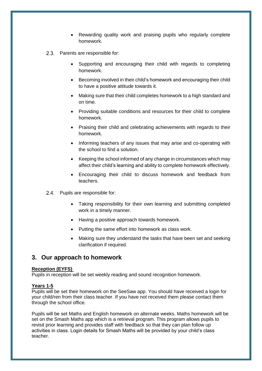- Rewarding quality work and praising pupils who regularly complete homework.
- 2.3. Parents are responsible for:
	- Supporting and encouraging their child with regards to completing homework.
	- Becoming involved in their child's homework and encouraging their child to have a positive attitude towards it.
	- Making sure that their child completes homework to a high standard and on time.
	- Providing suitable conditions and resources for their child to complete homework.
	- Praising their child and celebrating achievements with regards to their homework.
	- Informing teachers of any issues that may arise and co-operating with the school to find a solution.
	- Keeping the school informed of any change in circumstances which may affect their child's learning and ability to complete homework effectively.
	- Encouraging their child to discuss homework and feedback from teachers.
- 2.4. Pupils are responsible for:
	- Taking responsibility for their own learning and submitting completed work in a timely manner.
	- Having a positive approach towards homework.
	- Putting the same effort into homework as class work.
	- Making sure they understand the tasks that have been set and seeking clarification if required.

### <span id="page-4-0"></span>**3. Our approach to homework**

#### **Reception (EYFS)**

Pupils in reception will be set weekly reading and sound recognition homework.

#### **Years 1-5**

Pupils will be set their homework on the SeeSaw app. You should have received a login for your child/ren from their class teacher. If you have not received them please contact them through the school office.

Pupils will be set Maths and English homework on alternate weeks. Maths homework will be set on the Smash Maths app which is a retrieval program. This program allows pupils to revisit prior learning and provides staff with feedback so that they can plan follow up activities in class. Login details for Smash Maths will be provided by your child's class teacher.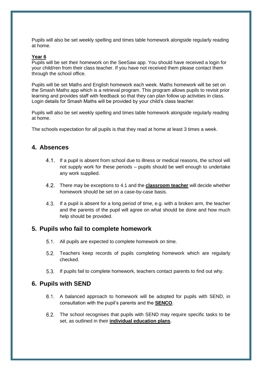Pupils will also be set weekly spelling and times table homework alongside regularly reading at home.

#### **Year 6**

Pupils will be set their homework on the SeeSaw app. You should have received a login for your child/ren from their class teacher. If you have not received them please contact them through the school office.

Pupils will be set Maths and English homework each week. Maths homework will be set on the Smash Maths app which is a retrieval program. This program allows pupils to revisit prior learning and provides staff with feedback so that they can plan follow up activities in class. Login details for Smash Maths will be provided by your child's class teacher.

Pupils will also be set weekly spelling and times table homework alongside regularly reading at home.

The schools expectation for all pupils is that they read at home at least 3 times a week.

### <span id="page-5-0"></span>**4. Absences**

- 4.1. If a pupil is absent from school due to illness or medical reasons, the school will not supply work for these periods – pupils should be well enough to undertake any work supplied.
- There may be exceptions to 4.1 and the **classroom teacher** will decide whether homework should be set on a case-by-case basis.
- 4.3. If a pupil is absent for a long period of time, e.g. with a broken arm, the teacher and the parents of the pupil will agree on what should be done and how much help should be provided.

#### <span id="page-5-1"></span>**5. Pupils who fail to complete homework**

- All pupils are expected to complete homework on time.
- Teachers keep records of pupils completing homework which are regularly checked.
- 5.3. If pupils fail to complete homework, teachers contact parents to find out why.

#### <span id="page-5-2"></span>**6. Pupils with SEND**

- A balanced approach to homework will be adopted for pupils with SEND, in consultation with the pupil's parents and the **SENCO**.
- The school recognises that pupils with SEND may require specific tasks to be set, as outlined in their **individual education plans**.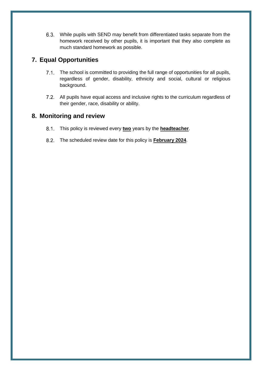While pupils with SEND may benefit from differentiated tasks separate from the homework received by other pupils, it is important that they also complete as much standard homework as possible.

## <span id="page-6-0"></span>**7. Equal Opportunities**

- 7.1. The school is committed to providing the full range of opportunities for all pupils, regardless of gender, disability, ethnicity and social, cultural or religious background.
- 7.2. All pupils have equal access and inclusive rights to the curriculum regardless of their gender, race, disability or ability.

## <span id="page-6-1"></span>**8. Monitoring and review**

- This policy is reviewed every **two** years by the **headteacher**.
- The scheduled review date for this policy is **February 2024**.